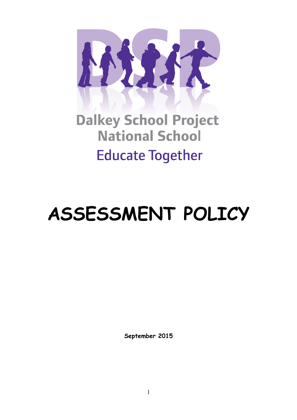

**Dalkey School Project National School Educate Together** 

# **ASSESSMENT POLICY**

**September 2015**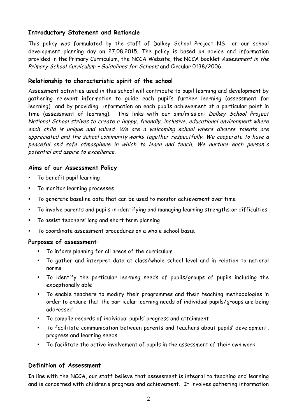## **Introductory Statement and Rationale**

This policy was formulated by the staff of Dalkey School Project NS on our school development planning day on 27.08.2015. The policy is based on advice and information provided in the Primary Curriculum, the NCCA Website, the NCCA booklet Assessment in the Primary School Curriculum – Guidelines for Schools and Circular 0138/2006.

# **Relationship to characteristic spirit of the school**

Assessment activities used in this school will contribute to pupil learning and development by gathering relevant information to guide each pupil's further learning (assessment for learning) and by providing information on each pupils achievement at a particular point in time (assessment of learning). This links with our aim/mission: Dalkey School Project National School strives to create a happy, friendly, inclusive, educational environment where each child is unique and valued. We are a welcoming school where diverse talents are appreciated and the school community works together respectfully. We cooperate to have a peaceful and safe atmosphere in which to learn and teach. We nurture each person's potential and aspire to excellence.

# **Aims of our Assessment Policy**

- § To benefit pupil learning
- § To monitor learning processes
- § To generate baseline data that can be used to monitor achievement over time
- § To involve parents and pupils in identifying and managing learning strengths or difficulties
- § To assist teachers' long and short term planning
- § To coordinate assessment procedures on a whole school basis.

## **Purposes of assessment:**

- To inform planning for all areas of the curriculum
- To gather and interpret data at class/whole school level and in relation to national norms
- To identify the particular learning needs of pupils/groups of pupils including the exceptionally able
- To enable teachers to modify their programmes and their teaching methodologies in order to ensure that the particular learning needs of individual pupils/groups are being addressed
- To compile records of individual pupils' progress and attainment
- To facilitate communication between parents and teachers about pupils' development, progress and learning needs
- To facilitate the active involvement of pupils in the assessment of their own work

# **Definition of Assessment**

In line with the NCCA, our staff believe that assessment is integral to teaching and learning and is concerned with children's progress and achievement. It involves gathering information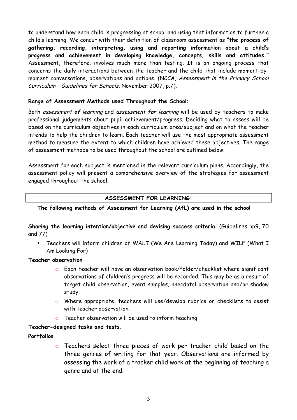to understand how each child is progressing at school and using that information to further a child's learning. We concur with their definition of classroom assessment as **"the process of gathering, recording, interpreting, using and reporting information about a child's progress and achievement in developing knowledge, concepts, skills and attitudes."** Assessment, therefore, involves much more than testing. It is an ongoing process that concerns the daily interactions between the teacher and the child that include moment-bymoment conversations, observations and actions. (NCCA, Assessment in the Primary School Curriculum – Guidelines for Schools. November 2007, p.7).

#### **Range of Assessment Methods used Throughout the School:**

Both assessment **of** learning and assessment **for** learning will be used by teachers to make professional judgements about pupil achievement/progress. Deciding what to assess will be based on the curriculum objectives in each curriculum area/subject and on what the teacher intends to help the children to learn. Each teacher will use the most appropriate assessment method to measure the extent to which children have achieved these objectives. The range of assessment methods to be used throughout the school are outlined below.

Assessment for each subject is mentioned in the relevant curriculum plans. Accordingly, the assessment policy will present a comprehensive overview of the strategies for assessment engaged throughout the school.

## **ASSESSMENT FOR LEARNING:**

#### **The following methods of Assessment for Learning (AfL) are used in the school**

**Sharing the learning intention/objective and devising success criteria** (Guidelines pp9, 70 and 77)

• Teachers will inform children of WALT (We Are Learning Today) and WILF (What I Am Looking For)

#### **Teacher observation**

- o Each teacher will have an observation book/folder/checklist where significant observations of children's progress will be recorded. This may be as a result of target child observation, event samples, anecdotal observation and/or shadow study.
- o Where appropriate, teachers will use/develop rubrics or checklists to assist with teacher observation.
- o Teacher observation will be used to inform teaching

#### **Teacher-designed tasks and tests**.

#### **Portfolios**

o Teachers select three pieces of work per tracker child based on the three genres of writing for that year. Observations are informed by assessing the work of a tracker child work at the beginning of teaching a genre and at the end.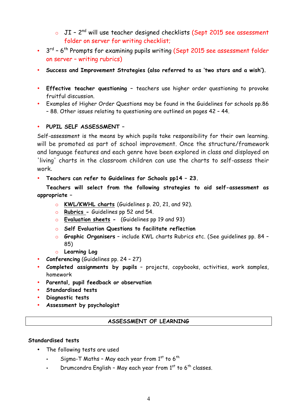- o JI 2<sup>nd</sup> will use teacher designed checklists (Sept 2015 see assessment folder on server for writing checklist;
- 3<sup>rd</sup> 6<sup>th</sup> Prompts for examining pupils writing (Sept 2015 see assessment folder on server – writing rubrics)
- **Success and Improvement Strategies (also referred to as 'two stars and a wish').**
- **Effective teacher questioning –** teachers use higher order questioning to provoke fruitful discussion.
- Examples of Higher Order Questions may be found in the Guidelines for schools pp.86 – 88. Other issues relating to questioning are outlined on pages 42 – 44.

#### • **PUPIL SELF ASSESSMENT –**

Self-assessment is the means by which pupils take responsibility for their own learning. will be promoted as part of school improvement. Once the structure/framework and language features and each genre have been explored in class and displayed on 'living' charts in the classroom children can use the charts to self-assess their work.

• **Teachers can refer to Guidelines for Schools pp14 – 23.** 

**Teachers will select from the following strategies to aid self-assessment as appropriate –**

- o **KWL/KWHL charts** (Guidelines p. 20, 21, and 92).
- o **Rubrics -** Guidelines pp 52 and 54.
- o **Evaluation sheets** (Guidelines pp 19 and 93)
- o **Self Evaluation Questions to facilitate reflection**
- o **Graphic Organisers** include KWL charts Rubrics etc. (See guidelines pp. 84 85)
- o **Learning Log**
- **Conferencing** (Guidelines pp. 24 27)
- **Completed assignments by pupils** projects, copybooks, activities, work samples, homework
- **Parental, pupil feedback or observation**
- **Standardised tests**
- **Diagnostic tests**
- **Assessment by psychologist**

#### **ASSESSMENT OF LEARNING**

#### **Standardised tests**

- The following tests are used
	- $\;$  Sigma-T Maths May each year from  $1^\text{st}$  to 6  $^\text{th}$
	- Drumcondra English May each year from  $1<sup>st</sup>$  to 6<sup>th</sup> classes.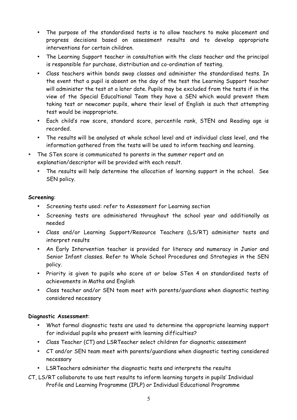- The purpose of the standardised tests is to allow teachers to make placement and progress decisions based on assessment results and to develop appropriate interventions for certain children.
- The Learning Support teacher in consultation with the class teacher and the principal is responsible for purchase, distribution and co-ordination of testing.
- Class teachers within bands swop classes and administer the standardised tests. In the event that a pupil is absent on the day of the test the Learning Support teacher will administer the test at a later date. Pupils may be excluded from the tests if in the view of the Special Educaltional Team they have a SEN which would prevent them taking test or newcomer pupils, where their level of English is such that attempting test would be inappropriate.
- Each child's raw score, standard score, percentile rank, STEN and Reading age is recorded.
- The results will be analysed at whole school level and at individual class level, and the information gathered from the tests will be used to inform teaching and learning.
- The STen score is communicated to parents in the summer report and an explanation/descriptor will be provided with each result.
	- The results will help determine the allocation of learning support in the school. See SEN policy.

#### **Screening**:

- Screening tests used: refer to Assessment for Learning section
- Screening tests are administered throughout the school year and additionally as needed
- Class and/or Learning Support/Resource Teachers (LS/RT) administer tests and interpret results
- An Early Intervention teacher is provided for literacy and numeracy in Junior and Senior Infant classes. Refer to Whole School Procedures and Strategies in the SEN policy.
- Priority is given to pupils who score at or below STen 4 on standardised tests of achievements in Maths and English
- Class teacher and/or SEN team meet with parents/guardians when diagnostic testing considered necessary

## **Diagnostic Assessment**:

- What formal diagnostic tests are used to determine the appropriate learning support for individual pupils who present with learning difficulties?
- Class Teacher (CT) and LSRTeacher select children for diagnostic assessment
- CT and/or SEN team meet with parents/guardians when diagnostic testing considered necessary
- LSRTeachers administer the diagnostic tests and interprets the results
- CT, LS/RT collaborate to use test results to inform learning targets in pupils' Individual Profile and Learning Programme (IPLP) or Individual Educational Programme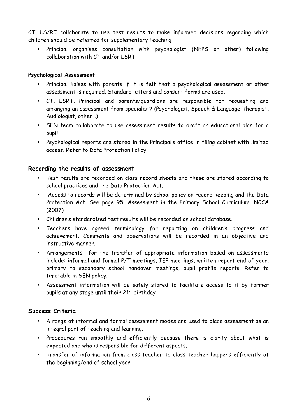CT, LS/RT collaborate to use test results to make informed decisions regarding which children should be referred for supplementary teaching

• Principal organises consultation with psychologist (NEPS or other) following collaboration with CT and/or LSRT

#### **Psychological Assessment**:

- Principal liaises with parents if it is felt that a psychological assessment or other assessment is required. Standard letters and consent forms are used.
- CT, LSRT, Principal and parents/guardians are responsible for requesting and arranging an assessment from specialist? (Psychologist, Speech & Language Therapist, Audiologist, other…)
- SEN team collaborate to use assessment results to draft an educational plan for a pupil
- Psychological reports are stored in the Principal's office in filing cabinet with limited access. Refer to Data Protection Policy.

## **Recording the results of assessment**

- Test results are recorded on class record sheets and these are stored according to school practices and the Data Protection Act.
- Access to records will be determined by school policy on record keeping and the Data Protection Act. See page 95, Assessment in the Primary School Curriculum, NCCA (2007)
- Children's standardised test results will be recorded on school database.
- Teachers have agreed terminology for reporting on children's progress and achievement. Comments and observations will be recorded in an objective and instructive manner.
- Arrangements for the transfer of appropriate information based on assessments include: informal and formal P/T meetings, IEP meetings, written report end of year, primary to secondary school handover meetings, pupil profile reports. Refer to timetable in SEN policy.
- Assessment information will be safely stored to facilitate access to it by former pupils at any stage until their  $21<sup>st</sup>$  birthday

## **Success Criteria**

- A range of informal and formal assessment modes are used to place assessment as an integral part of teaching and learning.
- Procedures run smoothly and efficiently because there is clarity about what is expected and who is responsible for different aspects.
- Transfer of information from class teacher to class teacher happens efficiently at the beginning/end of school year.